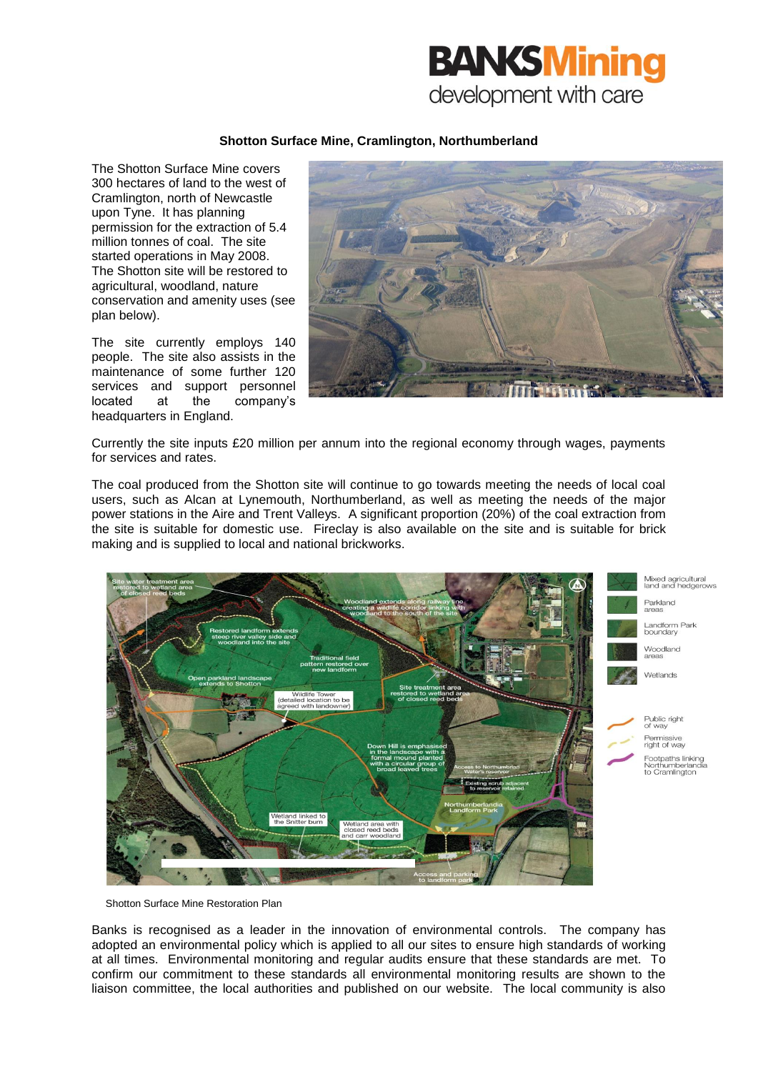

## **Shotton Surface Mine, Cramlington, Northumberland**

The Shotton Surface Mine covers 300 hectares of land to the west of Cramlington, north of Newcastle upon Tyne. It has planning permission for the extraction of 5.4 million tonnes of coal. The site started operations in May 2008. The Shotton site will be restored to agricultural, woodland, nature conservation and amenity uses (see plan below).

The site currently employs 140 people. The site also assists in the maintenance of some further 120 services and support personnel located at the company's headquarters in England.



Currently the site inputs £20 million per annum into the regional economy through wages, payments for services and rates.

The coal produced from the Shotton site will continue to go towards meeting the needs of local coal users, such as Alcan at Lynemouth, Northumberland, as well as meeting the needs of the major power stations in the Aire and Trent Valleys. A significant proportion (20%) of the coal extraction from the site is suitable for domestic use. Fireclay is also available on the site and is suitable for brick making and is supplied to local and national brickworks.



Shotton Surface Mine Restoration Plan

Banks is recognised as a leader in the innovation of environmental controls. The company has adopted an environmental policy which is applied to all our sites to ensure high standards of working at all times. Environmental monitoring and regular audits ensure that these standards are met. To confirm our commitment to these standards all environmental monitoring results are shown to the liaison committee, the local authorities and published on our website. The local community is also